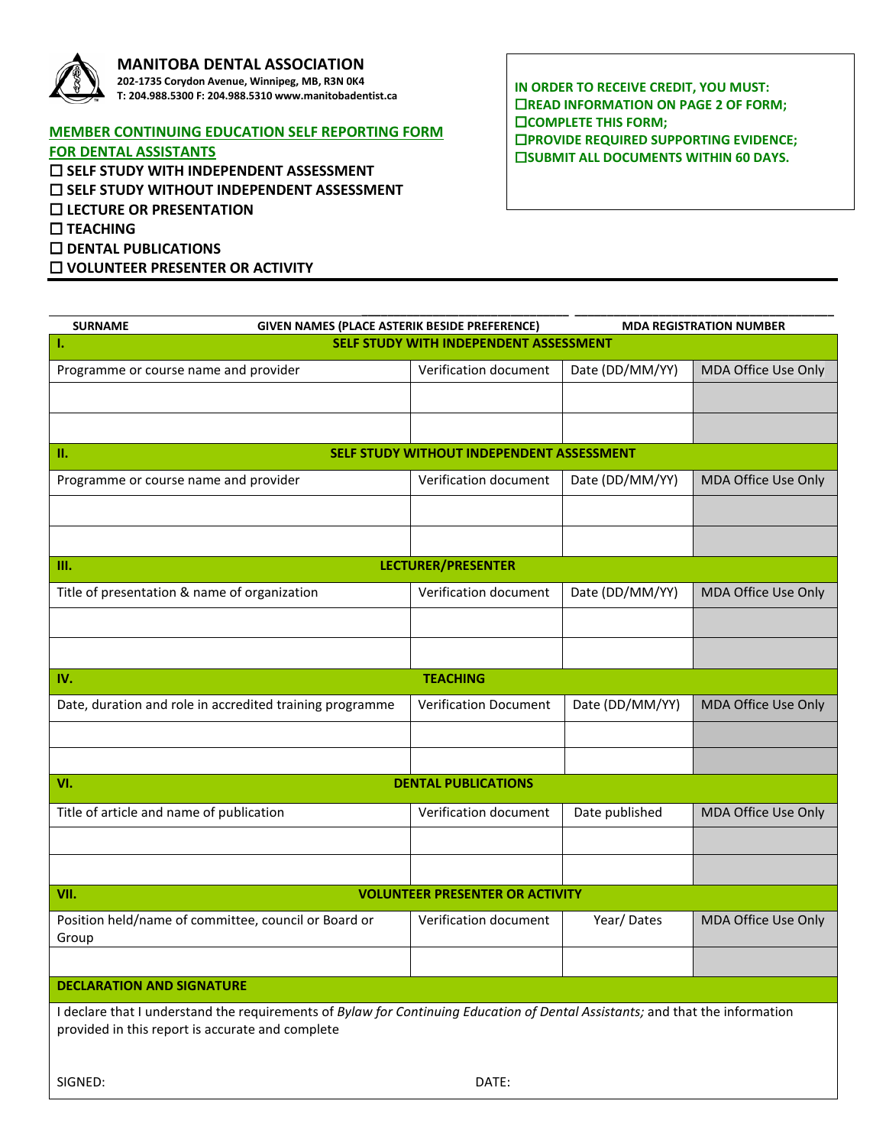

## **MANITOBA DENTAL ASSOCIATION 202-1735 Corydon Avenue, Winnipeg, MB, R3N 0K4**

**T: 204.988.5300 F: 204.988.5310 www.manitobadentist.ca**

SIGNED: DATE:

## **MEMBER CONTINUING EDUCATION SELF REPORTING FORM**

**FOR DENTAL ASSISTANTS SELF STUDY WITH INDEPENDENT ASSESSMENT SELF STUDY WITHOUT INDEPENDENT ASSESSMENT LECTURE OR PRESENTATION TEACHING DENTAL PUBLICATIONS VOLUNTEER PRESENTER OR ACTIVITY**

**IN ORDER TO RECEIVE CREDIT, YOU MUST: READ INFORMATION ON PAGE 2 OF FORM; COMPLETE THIS FORM; PROVIDE REQUIRED SUPPORTING EVIDENCE; EISUBMIT ALL DOCUMENTS WITHIN 60 DAYS.** 

| <b>SURNAME</b>                                                                                                                | GIVEN NAMES (PLACE ASTERIK BESIDE PREFERENCE) |                 | <b>MDA REGISTRATION NUMBER</b> |  |
|-------------------------------------------------------------------------------------------------------------------------------|-----------------------------------------------|-----------------|--------------------------------|--|
| SELF STUDY WITH INDEPENDENT ASSESSMENT<br>л.                                                                                  |                                               |                 |                                |  |
| Programme or course name and provider                                                                                         | Verification document                         | Date (DD/MM/YY) | MDA Office Use Only            |  |
|                                                                                                                               |                                               |                 |                                |  |
|                                                                                                                               |                                               |                 |                                |  |
| п.                                                                                                                            |                                               |                 |                                |  |
| SELF STUDY WITHOUT INDEPENDENT ASSESSMENT                                                                                     |                                               |                 |                                |  |
| Programme or course name and provider                                                                                         | Verification document                         | Date (DD/MM/YY) | MDA Office Use Only            |  |
|                                                                                                                               |                                               |                 |                                |  |
|                                                                                                                               |                                               |                 |                                |  |
| <b>LECTURER/PRESENTER</b><br>III.                                                                                             |                                               |                 |                                |  |
| Title of presentation & name of organization                                                                                  | Verification document                         | Date (DD/MM/YY) | MDA Office Use Only            |  |
|                                                                                                                               |                                               |                 |                                |  |
|                                                                                                                               |                                               |                 |                                |  |
| <b>TEACHING</b><br>IV.                                                                                                        |                                               |                 |                                |  |
| Date, duration and role in accredited training programme                                                                      | <b>Verification Document</b>                  | Date (DD/MM/YY) | MDA Office Use Only            |  |
|                                                                                                                               |                                               |                 |                                |  |
|                                                                                                                               |                                               |                 |                                |  |
|                                                                                                                               |                                               |                 |                                |  |
| VI.<br><b>DENTAL PUBLICATIONS</b>                                                                                             |                                               |                 |                                |  |
| Title of article and name of publication                                                                                      | Verification document                         | Date published  | MDA Office Use Only            |  |
|                                                                                                                               |                                               |                 |                                |  |
|                                                                                                                               |                                               |                 |                                |  |
| <b>VOLUNTEER PRESENTER OR ACTIVITY</b><br>VII.                                                                                |                                               |                 |                                |  |
| Position held/name of committee, council or Board or<br>Group                                                                 | Verification document                         | Year/Dates      | MDA Office Use Only            |  |
|                                                                                                                               |                                               |                 |                                |  |
| <b>DECLARATION AND SIGNATURE</b>                                                                                              |                                               |                 |                                |  |
| I declare that I understand the requirements of Bylaw for Continuing Education of Dental Assistants; and that the information |                                               |                 |                                |  |
| provided in this report is accurate and complete                                                                              |                                               |                 |                                |  |
|                                                                                                                               |                                               |                 |                                |  |
|                                                                                                                               |                                               |                 |                                |  |